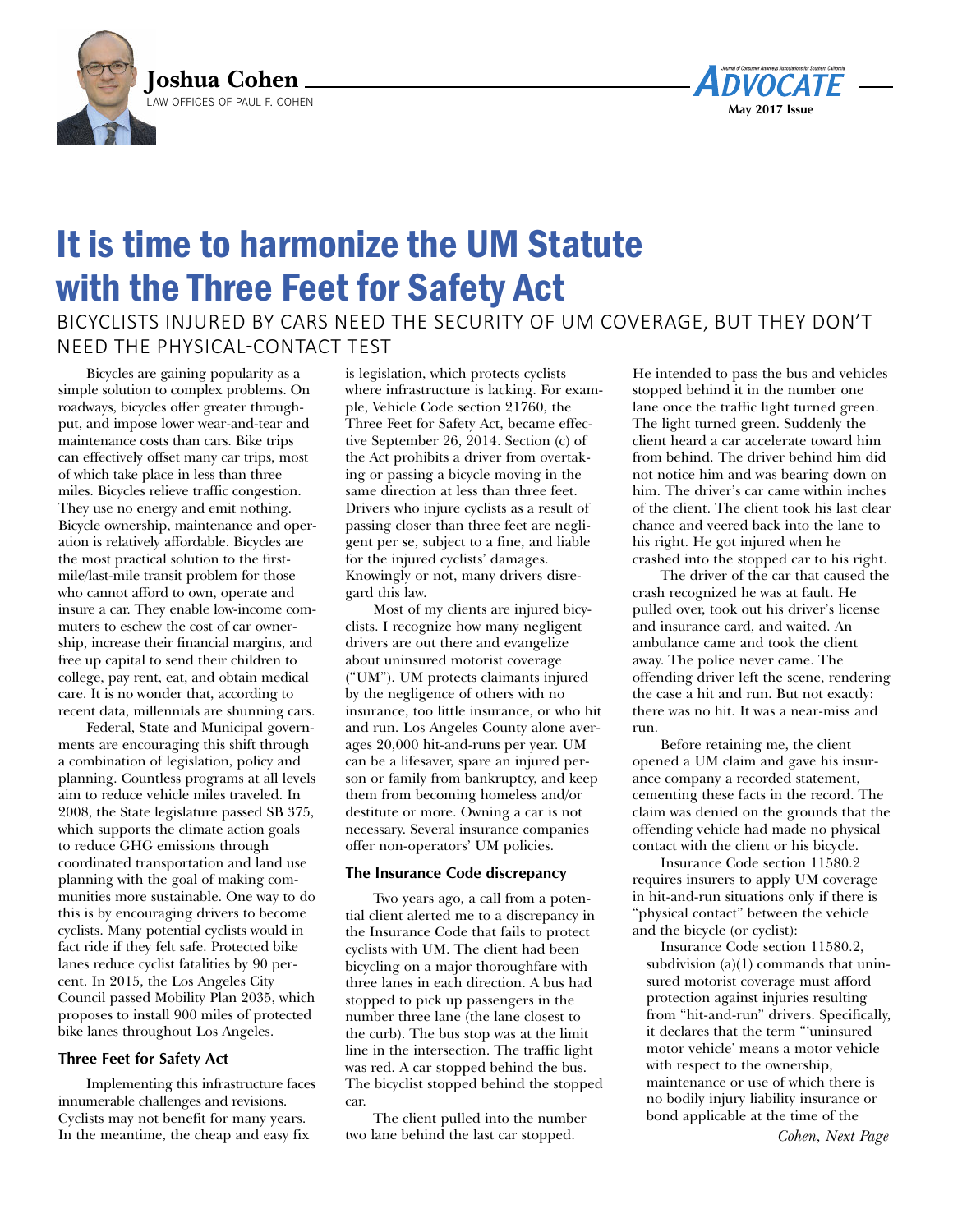



## It is time to harmonize the UM Statute with the Three Feet for Safety Act

Bicyclists injured By cars need the security of uM coverage, But they don't need the physical-contact test

Bicycles are gaining popularity as a simple solution to complex problems. On roadways, bicycles offer greater throughput, and impose lower wear-and-tear and maintenance costs than cars. Bike trips can effectively offset many car trips, most of which take place in less than three miles. Bicycles relieve traffic congestion. They use no energy and emit nothing. Bicycle ownership, maintenance and operation is relatively affordable. Bicycles are the most practical solution to the firstmile/last-mile transit problem for those who cannot afford to own, operate and insure a car. They enable low-income commuters to eschew the cost of car ownership, increase their financial margins, and free up capital to send their children to college, pay rent, eat, and obtain medical care. It is no wonder that, according to recent data, millennials are shunning cars.

Federal, State and Municipal governments are encouraging this shift through a combination of legislation, policy and planning. Countless programs at all levels aim to reduce vehicle miles traveled. In 2008, the State legislature passed SB 375, which supports the climate action goals to reduce GHG emissions through coordinated transportation and land use planning with the goal of making communities more sustainable. One way to do this is by encouraging drivers to become cyclists. Many potential cyclists would in fact ride if they felt safe. Protected bike lanes reduce cyclist fatalities by 90 percent. In 2015, the Los Angeles City Council passed Mobility Plan 2035, which proposes to install 900 miles of protected bike lanes throughout Los Angeles.

## **Three Feet for Safety Act**

Implementing this infrastructure faces innumerable challenges and revisions. Cyclists may not benefit for many years. In the meantime, the cheap and easy fix

is legislation, which protects cyclists where infrastructure is lacking. For example, Vehicle Code section 21760, the Three Feet for Safety Act, became effective September 26, 2014. Section (c) of the Act prohibits a driver from overtaking or passing a bicycle moving in the same direction at less than three feet. Drivers who injure cyclists as a result of passing closer than three feet are negligent per se, subject to a fine, and liable for the injured cyclists' damages. Knowingly or not, many drivers disregard this law.

Most of my clients are injured bicyclists. I recognize how many negligent drivers are out there and evangelize about uninsured motorist coverage ("UM"). UM protects claimants injured by the negligence of others with no insurance, too little insurance, or who hit and run. Los Angeles County alone averages 20,000 hit-and-runs per year. UM can be a lifesaver, spare an injured person or family from bankruptcy, and keep them from becoming homeless and/or destitute or more. Owning a car is not necessary. Several insurance companies offer non-operators' UM policies.

## **The Insurance Code discrepancy**

Two years ago, a call from a potential client alerted me to a discrepancy in the Insurance Code that fails to protect cyclists with UM. The client had been bicycling on a major thoroughfare with three lanes in each direction. A bus had stopped to pick up passengers in the number three lane (the lane closest to the curb). The bus stop was at the limit line in the intersection. The traffic light was red. A car stopped behind the bus. The bicyclist stopped behind the stopped car.

The client pulled into the number two lane behind the last car stopped.

He intended to pass the bus and vehicles stopped behind it in the number one lane once the traffic light turned green. The light turned green. Suddenly the client heard a car accelerate toward him from behind. The driver behind him did not notice him and was bearing down on him. The driver's car came within inches of the client. The client took his last clear chance and veered back into the lane to his right. He got injured when he crashed into the stopped car to his right.

The driver of the car that caused the crash recognized he was at fault. He pulled over, took out his driver's license and insurance card, and waited. An ambulance came and took the client away. The police never came. The offending driver left the scene, rendering the case a hit and run. But not exactly: there was no hit. It was a near-miss and run.

Before retaining me, the client opened a UM claim and gave his insurance company a recorded statement, cementing these facts in the record. The claim was denied on the grounds that the offending vehicle had made no physical contact with the client or his bicycle.

Insurance Code section 11580.2 requires insurers to apply UM coverage in hit-and-run situations only if there is "physical contact" between the vehicle and the bicycle (or cyclist):

Insurance Code section 11580.2, subdivision (a)(1) commands that uninsured motorist coverage must afford protection against injuries resulting from "hit-and-run" drivers. Specifically, it declares that the term "'uninsured motor vehicle' means a motor vehicle with respect to the ownership, maintenance or use of which there is no bodily injury liability insurance or bond applicable at the time of the

*Cohen, Next Page*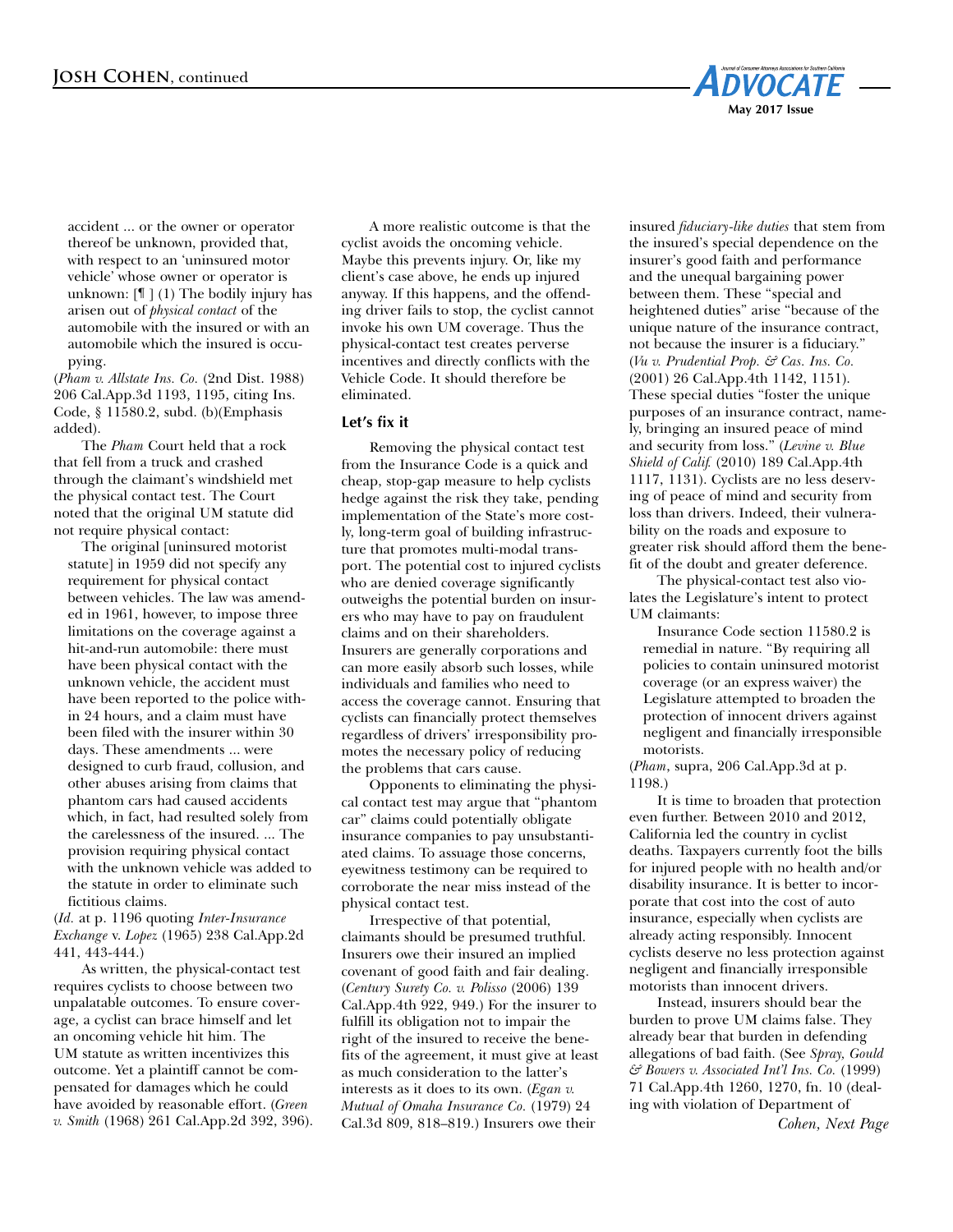

accident ... or the owner or operator thereof be unknown, provided that, with respect to an 'uninsured motor vehicle' whose owner or operator is unknown:  $[\mathbb{T}](1)$  The bodily injury has arisen out of *physical contact* of the automobile with the insured or with an automobile which the insured is occupying.

(*Pham v. Allstate Ins. Co.* (2nd Dist. 1988) 206 Cal.App.3d 1193, 1195, citing Ins. Code, § 11580.2, subd. (b)(Emphasis added).

The *Pham* Court held that a rock that fell from a truck and crashed through the claimant's windshield met the physical contact test. The Court noted that the original UM statute did not require physical contact:

The original [uninsured motorist statute] in 1959 did not specify any requirement for physical contact between vehicles. The law was amended in 1961, however, to impose three limitations on the coverage against a hit-and-run automobile: there must have been physical contact with the unknown vehicle, the accident must have been reported to the police within 24 hours, and a claim must have been filed with the insurer within 30 days. These amendments ... were designed to curb fraud, collusion, and other abuses arising from claims that phantom cars had caused accidents which, in fact, had resulted solely from the carelessness of the insured. ... The provision requiring physical contact with the unknown vehicle was added to the statute in order to eliminate such fictitious claims.

(*Id.* at p. 1196 quoting *Inter-Insurance Exchange* v. *Lopez* (1965) 238 Cal.App.2d 441, 443-444.)

As written, the physical-contact test requires cyclists to choose between two unpalatable outcomes. To ensure coverage, a cyclist can brace himself and let an oncoming vehicle hit him. The UM statute as written incentivizes this outcome. Yet a plaintiff cannot be compensated for damages which he could have avoided by reasonable effort. (*Green v. Smith* (1968) 261 Cal.App.2d 392, 396).

A more realistic outcome is that the cyclist avoids the oncoming vehicle. Maybe this prevents injury. Or, like my client's case above, he ends up injured anyway. If this happens, and the offending driver fails to stop, the cyclist cannot invoke his own UM coverage. Thus the physical-contact test creates perverse incentives and directly conflicts with the Vehicle Code. It should therefore be eliminated.

## **Let's fix it**

Removing the physical contact test from the Insurance Code is a quick and cheap, stop-gap measure to help cyclists hedge against the risk they take, pending implementation of the State's more costly, long-term goal of building infrastructure that promotes multi-modal transport. The potential cost to injured cyclists who are denied coverage significantly outweighs the potential burden on insurers who may have to pay on fraudulent claims and on their shareholders. Insurers are generally corporations and can more easily absorb such losses, while individuals and families who need to access the coverage cannot. Ensuring that cyclists can financially protect themselves regardless of drivers' irresponsibility promotes the necessary policy of reducing the problems that cars cause.

Opponents to eliminating the physical contact test may argue that "phantom car" claims could potentially obligate insurance companies to pay unsubstantiated claims. To assuage those concerns, eyewitness testimony can be required to corroborate the near miss instead of the physical contact test.

Irrespective of that potential, claimants should be presumed truthful. Insurers owe their insured an implied covenant of good faith and fair dealing. (*Century Surety Co. v. Polisso* (2006) 139 Cal.App.4th 922, 949.) For the insurer to fulfill its obligation not to impair the right of the insured to receive the benefits of the agreement, it must give at least as much consideration to the latter's interests as it does to its own. (*Egan v. Mutual of Omaha Insurance Co.* (1979) 24 Cal.3d 809, 818–819.) Insurers owe their

insured *fiduciary-like duties* that stem from the insured's special dependence on the insurer's good faith and performance and the unequal bargaining power between them. These "special and heightened duties" arise "because of the unique nature of the insurance contract, not because the insurer is a fiduciary." (*Vu v. Prudential Prop. & Cas. Ins. Co.* (2001) 26 Cal.App.4th 1142, 1151). These special duties "foster the unique purposes of an insurance contract, namely, bringing an insured peace of mind and security from loss." (*Levine v. Blue Shield of Calif.* (2010) 189 Cal.App.4th 1117, 1131). Cyclists are no less deserving of peace of mind and security from loss than drivers. Indeed, their vulnerability on the roads and exposure to greater risk should afford them the benefit of the doubt and greater deference.

The physical-contact test also violates the Legislature's intent to protect UM claimants:

Insurance Code section 11580.2 is remedial in nature. "By requiring all policies to contain uninsured motorist coverage (or an express waiver) the Legislature attempted to broaden the protection of innocent drivers against negligent and financially irresponsible motorists.

(*Pham*, supra, 206 Cal.App.3d at p. 1198.)

It is time to broaden that protection even further. Between 2010 and 2012, California led the country in cyclist deaths. Taxpayers currently foot the bills for injured people with no health and/or disability insurance. It is better to incorporate that cost into the cost of auto insurance, especially when cyclists are already acting responsibly. Innocent cyclists deserve no less protection against negligent and financially irresponsible motorists than innocent drivers.

Instead, insurers should bear the burden to prove UM claims false. They already bear that burden in defending allegations of bad faith. (See *Spray, Gould & Bowers v. Associated Int'l Ins. Co.* (1999) 71 Cal.App.4th 1260, 1270, fn. 10 (dealing with violation of Department of

*Cohen, Next Page*